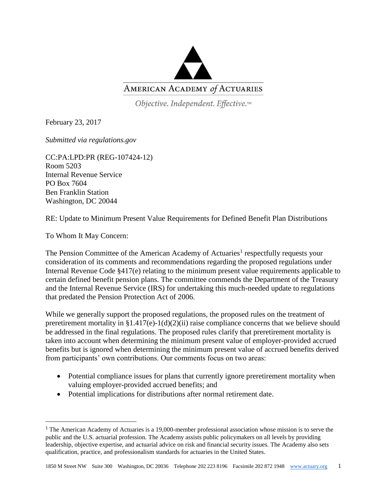

Objective. Independent. Effective.™

February 23, 2017

*Submitted via regulations.gov* 

CC:PA:LPD:PR (REG-107424-12) Room 5203 Internal Revenue Service PO Box 7604 Ben Franklin Station Washington, DC 20044

RE: Update to Minimum Present Value Requirements for Defined Benefit Plan Distributions

To Whom It May Concern:

 $\overline{\phantom{a}}$ 

The Pension Committee of the American Academy of Actuaries<sup>1</sup> respectfully requests your consideration of its comments and recommendations regarding the proposed regulations under Internal Revenue Code §417(e) relating to the minimum present value requirements applicable to certain defined benefit pension plans. The committee commends the Department of the Treasury and the Internal Revenue Service (IRS) for undertaking this much-needed update to regulations that predated the Pension Protection Act of 2006.

While we generally support the proposed regulations, the proposed rules on the treatment of preretirement mortality in  $$1.417(e)-1(d)(2)(ii)$  raise compliance concerns that we believe should be addressed in the final regulations. The proposed rules clarify that preretirement mortality is taken into account when determining the minimum present value of employer-provided accrued benefits but is ignored when determining the minimum present value of accrued benefits derived from participants' own contributions. Our comments focus on two areas:

- Potential compliance issues for plans that currently ignore preretirement mortality when valuing employer-provided accrued benefits; and
- Potential implications for distributions after normal retirement date.

<sup>&</sup>lt;sup>1</sup> The American Academy of Actuaries is a 19,000-member professional association whose mission is to serve the public and the U.S. actuarial profession. The Academy assists public policymakers on all levels by providing leadership, objective expertise, and actuarial advice on risk and financial security issues. The Academy also sets qualification, practice, and professionalism standards for actuaries in the United States.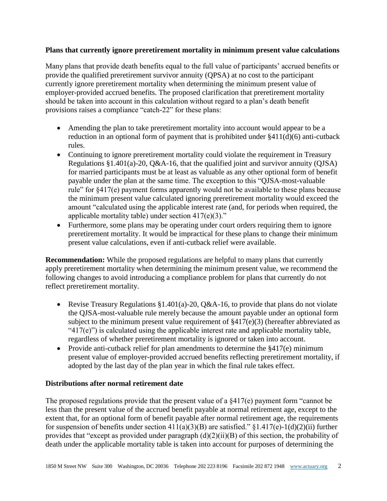## **Plans that currently ignore preretirement mortality in minimum present value calculations**

Many plans that provide death benefits equal to the full value of participants' accrued benefits or provide the qualified preretirement survivor annuity (QPSA) at no cost to the participant currently ignore preretirement mortality when determining the minimum present value of employer-provided accrued benefits. The proposed clarification that preretirement mortality should be taken into account in this calculation without regard to a plan's death benefit provisions raises a compliance "catch-22" for these plans:

- Amending the plan to take preretirement mortality into account would appear to be a reduction in an optional form of payment that is prohibited under §411(d)(6) anti-cutback rules.
- Continuing to ignore preretirement mortality could violate the requirement in Treasury Regulations §1.401(a)-20, Q&A-16, that the qualified joint and survivor annuity (QJSA) for married participants must be at least as valuable as any other optional form of benefit payable under the plan at the same time. The exception to this "QJSA-most-valuable rule" for §417(e) payment forms apparently would not be available to these plans because the minimum present value calculated ignoring preretirement mortality would exceed the amount "calculated using the applicable interest rate (and, for periods when required, the applicable mortality table) under section 417(e)(3)."
- Furthermore, some plans may be operating under court orders requiring them to ignore preretirement mortality. It would be impractical for these plans to change their minimum present value calculations, even if anti-cutback relief were available.

**Recommendation:** While the proposed regulations are helpful to many plans that currently apply preretirement mortality when determining the minimum present value, we recommend the following changes to avoid introducing a compliance problem for plans that currently do not reflect preretirement mortality.

- Revise Treasury Regulations  $$1.401(a)-20$ , Q&A-16, to provide that plans do not violate the QJSA-most-valuable rule merely because the amount payable under an optional form subject to the minimum present value requirement of  $\S417(e)(3)$  (hereafter abbreviated as " $417(e)$ ") is calculated using the applicable interest rate and applicable mortality table, regardless of whether preretirement mortality is ignored or taken into account.
- Provide anti-cutback relief for plan amendments to determine the  $§417(e)$  minimum present value of employer-provided accrued benefits reflecting preretirement mortality, if adopted by the last day of the plan year in which the final rule takes effect.

## **Distributions after normal retirement date**

The proposed regulations provide that the present value of a §417(e) payment form "cannot be less than the present value of the accrued benefit payable at normal retirement age, except to the extent that, for an optional form of benefit payable after normal retirement age, the requirements for suspension of benefits under section  $411(a)(3)(B)$  are satisfied." §1.417(e)-1(d)(2)(ii) further provides that "except as provided under paragraph (d)(2)(ii)(B) of this section, the probability of death under the applicable mortality table is taken into account for purposes of determining the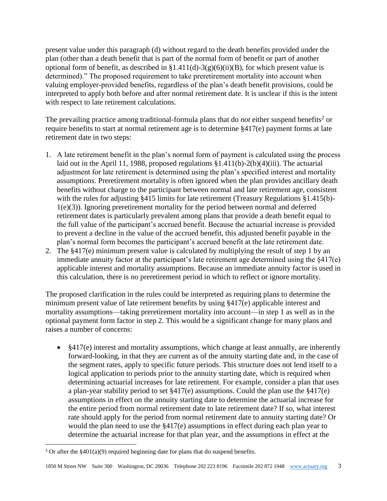present value under this paragraph (d) without regard to the death benefits provided under the plan (other than a death benefit that is part of the normal form of benefit or part of another optional form of benefit, as described in  $$1.411(d)-3(g)(6)(ii)(B)$ , for which present value is determined)." The proposed requirement to take preretirement mortality into account when valuing employer-provided benefits, regardless of the plan's death benefit provisions, could be interpreted to apply both before and after normal retirement date. It is unclear if this is the intent with respect to late retirement calculations.

The prevailing practice among traditional-formula plans that do *not* either suspend benefits<sup>2</sup> or require benefits to start at normal retirement age is to determine §417(e) payment forms at late retirement date in two steps:

- 1. A late retirement benefit in the plan's normal form of payment is calculated using the process laid out in the April 11, 1988, proposed regulations §1.411(b)-2(b)(4)(iii). The actuarial adjustment for late retirement is determined using the plan's specified interest and mortality assumptions. Preretirement mortality is often ignored when the plan provides ancillary death benefits without charge to the participant between normal and late retirement age, consistent with the rules for adjusting §415 limits for late retirement (Treasury Regulations §1.415(b)-1(e)(3)). Ignoring preretirement mortality for the period between normal and deferred retirement dates is particularly prevalent among plans that provide a death benefit equal to the full value of the participant's accrued benefit. Because the actuarial increase is provided to prevent a decline in the value of the accrued benefit, this adjusted benefit payable in the plan's normal form becomes the participant's accrued benefit at the late retirement date.
- 2. The §417(e) minimum present value is calculated by multiplying the result of step 1 by an immediate annuity factor at the participant's late retirement age determined using the §417(e) applicable interest and mortality assumptions. Because an immediate annuity factor is used in this calculation, there is no preretirement period in which to reflect or ignore mortality.

The proposed clarification in the rules could be interpreted as requiring plans to determine the minimum present value of late retirement benefits by using §417(e) applicable interest and mortality assumptions—taking preretirement mortality into account—in step 1 as well as in the optional payment form factor in step 2. This would be a significant change for many plans and raises a number of concerns:

• §417(e) interest and mortality assumptions, which change at least annually, are inherently forward-looking, in that they are current as of the annuity starting date and, in the case of the segment rates, apply to specific future periods. This structure does not lend itself to a logical application to periods prior to the annuity starting date, which is required when determining actuarial increases for late retirement. For example, consider a plan that uses a plan-year stability period to set §417(e) assumptions. Could the plan use the §417(e) assumptions in effect on the annuity starting date to determine the actuarial increase for the entire period from normal retirement date to late retirement date? If so, what interest rate should apply for the period from normal retirement date to annuity starting date? Or would the plan need to use the §417(e) assumptions in effect during each plan year to determine the actuarial increase for that plan year, and the assumptions in effect at the

 $\overline{\phantom{a}}$ 

<sup>&</sup>lt;sup>2</sup> Or after the  $$401(a)(9)$  required beginning date for plans that do suspend benefits.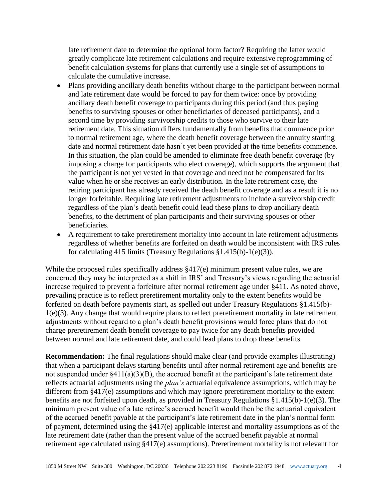late retirement date to determine the optional form factor? Requiring the latter would greatly complicate late retirement calculations and require extensive reprogramming of benefit calculation systems for plans that currently use a single set of assumptions to calculate the cumulative increase.

- Plans providing ancillary death benefits without charge to the participant between normal and late retirement date would be forced to pay for them twice: once by providing ancillary death benefit coverage to participants during this period (and thus paying benefits to surviving spouses or other beneficiaries of deceased participants), and a second time by providing survivorship credits to those who survive to their late retirement date. This situation differs fundamentally from benefits that commence prior to normal retirement age, where the death benefit coverage between the annuity starting date and normal retirement date hasn't yet been provided at the time benefits commence. In this situation, the plan could be amended to eliminate free death benefit coverage (by imposing a charge for participants who elect coverage), which supports the argument that the participant is not yet vested in that coverage and need not be compensated for its value when he or she receives an early distribution. In the late retirement case, the retiring participant has already received the death benefit coverage and as a result it is no longer forfeitable. Requiring late retirement adjustments to include a survivorship credit regardless of the plan's death benefit could lead these plans to drop ancillary death benefits, to the detriment of plan participants and their surviving spouses or other beneficiaries.
- A requirement to take preretirement mortality into account in late retirement adjustments regardless of whether benefits are forfeited on death would be inconsistent with IRS rules for calculating 415 limits (Treasury Regulations §1.415(b)-1(e)(3)).

While the proposed rules specifically address  $\S417(e)$  minimum present value rules, we are concerned they may be interpreted as a shift in IRS' and Treasury's views regarding the actuarial increase required to prevent a forfeiture after normal retirement age under §411. As noted above, prevailing practice is to reflect preretirement mortality only to the extent benefits would be forfeited on death before payments start, as spelled out under Treasury Regulations §1.415(b)- 1(e)(3). Any change that would require plans to reflect preretirement mortality in late retirement adjustments without regard to a plan's death benefit provisions would force plans that do not charge preretirement death benefit coverage to pay twice for any death benefits provided between normal and late retirement date, and could lead plans to drop these benefits.

**Recommendation:** The final regulations should make clear (and provide examples illustrating) that when a participant delays starting benefits until after normal retirement age and benefits are not suspended under §411(a)(3)(B), the accrued benefit at the participant's late retirement date reflects actuarial adjustments using the *plan's* actuarial equivalence assumptions, which may be different from §417(e) assumptions and which may ignore preretirement mortality to the extent benefits are not forfeited upon death, as provided in Treasury Regulations §1.415(b)-1(e)(3). The minimum present value of a late retiree's accrued benefit would then be the actuarial equivalent of the accrued benefit payable at the participant's late retirement date in the plan's normal form of payment, determined using the §417(e) applicable interest and mortality assumptions as of the late retirement date (rather than the present value of the accrued benefit payable at normal retirement age calculated using §417(e) assumptions). Preretirement mortality is not relevant for